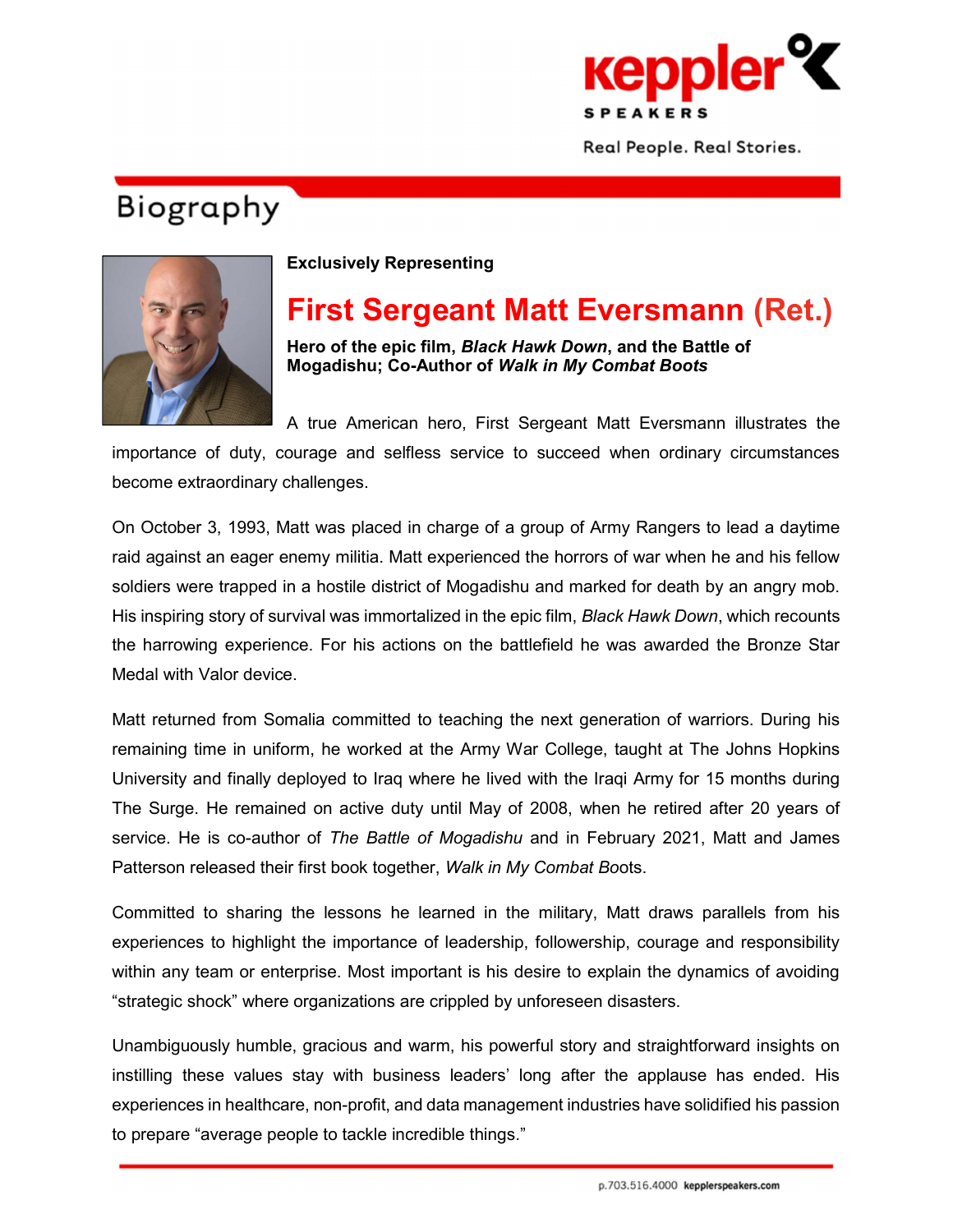

Real People. Real Stories.

## Biography



Exclusively Representing

## First Sergeant Matt Eversmann (Ret.)

Hero of the epic film, Black Hawk Down, and the Battle of Mogadishu; Co-Author of Walk in My Combat Boots

A true American hero, First Sergeant Matt Eversmann illustrates the importance of duty, courage and selfless service to succeed when ordinary circumstances become extraordinary challenges.

On October 3, 1993, Matt was placed in charge of a group of Army Rangers to lead a daytime raid against an eager enemy militia. Matt experienced the horrors of war when he and his fellow soldiers were trapped in a hostile district of Mogadishu and marked for death by an angry mob. His inspiring story of survival was immortalized in the epic film, Black Hawk Down, which recounts the harrowing experience. For his actions on the battlefield he was awarded the Bronze Star Medal with Valor device.

Matt returned from Somalia committed to teaching the next generation of warriors. During his remaining time in uniform, he worked at the Army War College, taught at The Johns Hopkins University and finally deployed to Iraq where he lived with the Iraqi Army for 15 months during The Surge. He remained on active duty until May of 2008, when he retired after 20 years of service. He is co-author of The Battle of Mogadishu and in February 2021, Matt and James Patterson released their first book together, Walk in My Combat Boots.

Committed to sharing the lessons he learned in the military, Matt draws parallels from his experiences to highlight the importance of leadership, followership, courage and responsibility within any team or enterprise. Most important is his desire to explain the dynamics of avoiding "strategic shock" where organizations are crippled by unforeseen disasters.

Unambiguously humble, gracious and warm, his powerful story and straightforward insights on instilling these values stay with business leaders' long after the applause has ended. His experiences in healthcare, non-profit, and data management industries have solidified his passion to prepare "average people to tackle incredible things."